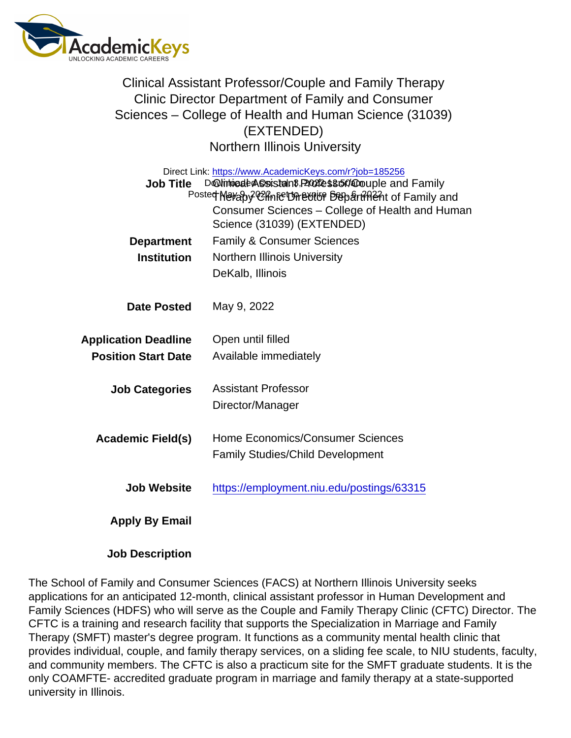## Clinical Assistant Professor/Couple and Family Therapy Clinic Director Department of Family and Consumer Sciences – College of Health and Human Science (31039) (EXTENDED) Northern Illinois University

| Direct Link: https://www.AcademicKeys.com/r?job=185256<br>DoNinto ale AS sistant P2024es 800 apple and Family<br>Job Title<br>Posted Meraby Chnic Unetrie Depart Hent of Family and<br>Consumer Sciences - College of Health and Human |                                           |
|----------------------------------------------------------------------------------------------------------------------------------------------------------------------------------------------------------------------------------------|-------------------------------------------|
|                                                                                                                                                                                                                                        | Science (31039) (EXTENDED)                |
| Department                                                                                                                                                                                                                             | <b>Family &amp; Consumer Sciences</b>     |
| Institution                                                                                                                                                                                                                            | <b>Northern Illinois University</b>       |
|                                                                                                                                                                                                                                        | DeKalb, Illinois                          |
| Date Posted                                                                                                                                                                                                                            | May 9, 2022                               |
| <b>Application Deadline</b>                                                                                                                                                                                                            | Open until filled                         |
| <b>Position Start Date</b>                                                                                                                                                                                                             | Available immediately                     |
| <b>Job Categories</b>                                                                                                                                                                                                                  | <b>Assistant Professor</b>                |
|                                                                                                                                                                                                                                        | Director/Manager                          |
| Academic Field(s)                                                                                                                                                                                                                      | Home Economics/Consumer Sciences          |
|                                                                                                                                                                                                                                        | <b>Family Studies/Child Development</b>   |
| Job Website                                                                                                                                                                                                                            | https://employment.niu.edu/postings/63315 |
| Apply By Email                                                                                                                                                                                                                         |                                           |

Job Description

The School of Family and Consumer Sciences (FACS) at Northern Illinois University seeks applications for an anticipated 12-month, clinical assistant professor in Human Development and Family Sciences (HDFS) who will serve as the Couple and Family Therapy Clinic (CFTC) Director. The CFTC is a training and research facility that supports the Specialization in Marriage and Family Therapy (SMFT) master's degree program. It functions as a community mental health clinic that provides individual, couple, and family therapy services, on a sliding fee scale, to NIU students, faculty, and community members. The CFTC is also a practicum site for the SMFT graduate students. It is the only COAMFTE- accredited graduate program in marriage and family therapy at a state-supported university in Illinois.